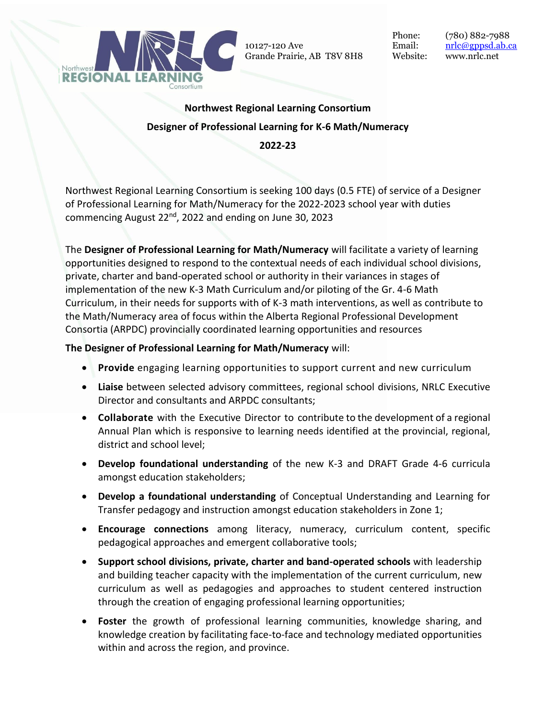

10127-120 Ave Grande Prairie, AB T8V 8H8

Phone: (780) 882-7988 Email: <u>[nrlc@gppsd.ab.ca](mailto:nrlc@gppsd.ab.ca)</u> Website: www.nrlc.net

## **Northwest Regional Learning Consortium Designer of Professional Learning for K-6 Math/Numeracy 2022-23**

Northwest Regional Learning Consortium is seeking 100 days (0.5 FTE) of service of a Designer of Professional Learning for Math/Numeracy for the 2022-2023 school year with duties commencing August 22<sup>nd</sup>, 2022 and ending on June 30, 2023

The **Designer of Professional Learning for Math/Numeracy** will facilitate a variety of learning opportunities designed to respond to the contextual needs of each individual school divisions, private, charter and band-operated school or authority in their variances in stages of implementation of the new K-3 Math Curriculum and/or piloting of the Gr. 4-6 Math Curriculum, in their needs for supports with of K-3 math interventions, as well as contribute to the Math/Numeracy area of focus within the Alberta Regional Professional Development Consortia (ARPDC) provincially coordinated learning opportunities and resources

## **The Designer of Professional Learning for Math/Numeracy** will:

- **Provide** engaging learning opportunities to support current and new curriculum
- **Liaise** between selected advisory committees, regional school divisions, NRLC Executive Director and consultants and ARPDC consultants;
- **Collaborate** with the Executive Director to contribute to the development of a regional Annual Plan which is responsive to learning needs identified at the provincial, regional, district and school level;
- **Develop foundational understanding** of the new K-3 and DRAFT Grade 4-6 curricula amongst education stakeholders;
- **Develop a foundational understanding** of Conceptual Understanding and Learning for Transfer pedagogy and instruction amongst education stakeholders in Zone 1;
- **Encourage connections** among literacy, numeracy, curriculum content, specific pedagogical approaches and emergent collaborative tools;
- **Support school divisions, private, charter and band-operated schools** with leadership and building teacher capacity with the implementation of the current curriculum, new curriculum as well as pedagogies and approaches to student centered instruction through the creation of engaging professional learning opportunities;
- **Foster** the growth of professional learning communities, knowledge sharing, and knowledge creation by facilitating face-to-face and technology mediated opportunities within and across the region, and province.